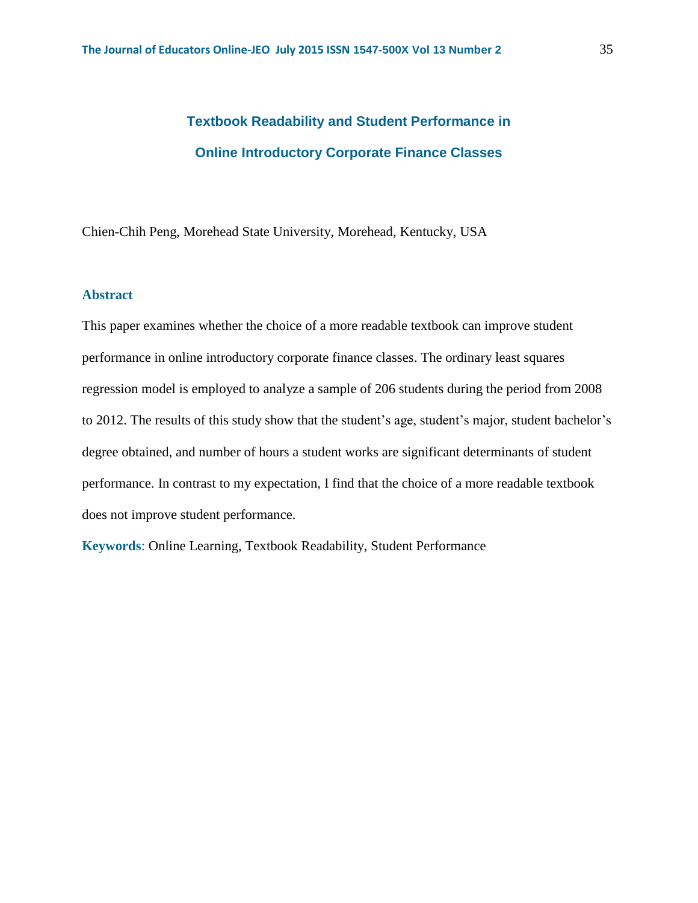# **Textbook Readability and Student Performance in Online Introductory Corporate Finance Classes**

Chien-Chih Peng, Morehead State University, Morehead, Kentucky, USA

# **Abstract**

This paper examines whether the choice of a more readable textbook can improve student performance in online introductory corporate finance classes. The ordinary least squares regression model is employed to analyze a sample of 206 students during the period from 2008 to 2012. The results of this study show that the student's age, student's major, student bachelor's degree obtained, and number of hours a student works are significant determinants of student performance. In contrast to my expectation, I find that the choice of a more readable textbook does not improve student performance.

**Keywords**: Online Learning, Textbook Readability, Student Performance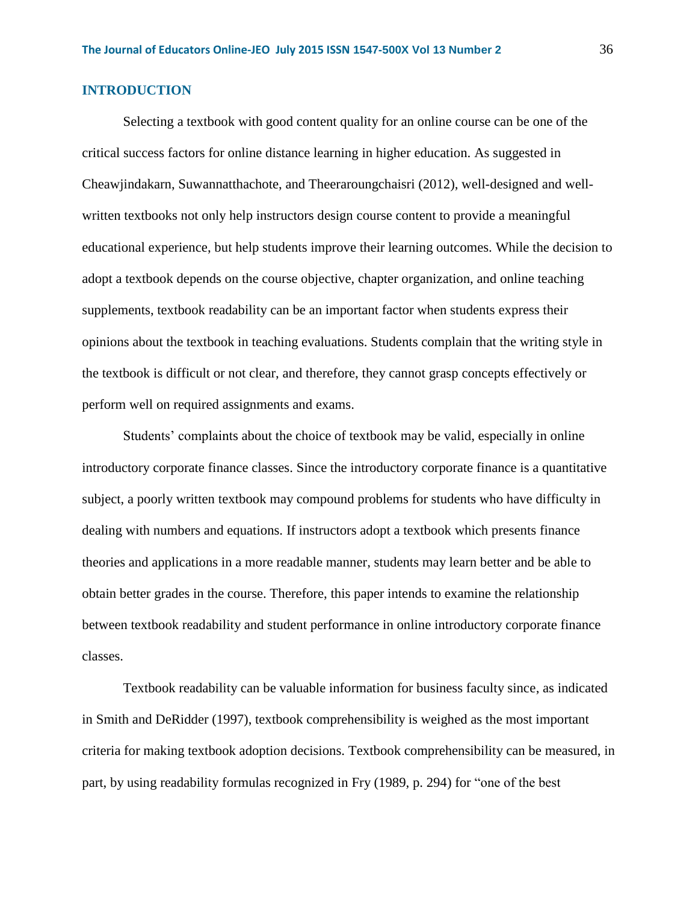## **INTRODUCTION**

Selecting a textbook with good content quality for an online course can be one of the critical success factors for online distance learning in higher education. As suggested in Cheawjindakarn, Suwannatthachote, and Theeraroungchaisri (2012), well-designed and wellwritten textbooks not only help instructors design course content to provide a meaningful educational experience, but help students improve their learning outcomes. While the decision to adopt a textbook depends on the course objective, chapter organization, and online teaching supplements, textbook readability can be an important factor when students express their opinions about the textbook in teaching evaluations. Students complain that the writing style in the textbook is difficult or not clear, and therefore, they cannot grasp concepts effectively or perform well on required assignments and exams.

Students' complaints about the choice of textbook may be valid, especially in online introductory corporate finance classes. Since the introductory corporate finance is a quantitative subject, a poorly written textbook may compound problems for students who have difficulty in dealing with numbers and equations. If instructors adopt a textbook which presents finance theories and applications in a more readable manner, students may learn better and be able to obtain better grades in the course. Therefore, this paper intends to examine the relationship between textbook readability and student performance in online introductory corporate finance classes.

Textbook readability can be valuable information for business faculty since, as indicated in Smith and DeRidder (1997), textbook comprehensibility is weighed as the most important criteria for making textbook adoption decisions. Textbook comprehensibility can be measured, in part, by using readability formulas recognized in Fry (1989, p. 294) for "one of the best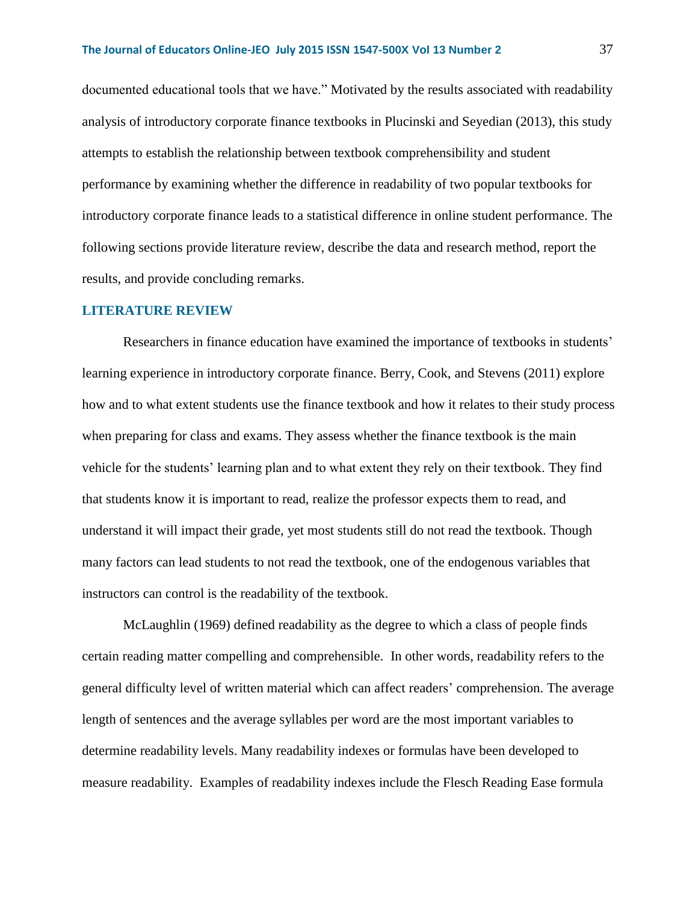documented educational tools that we have." Motivated by the results associated with readability analysis of introductory corporate finance textbooks in Plucinski and Seyedian (2013), this study attempts to establish the relationship between textbook comprehensibility and student performance by examining whether the difference in readability of two popular textbooks for introductory corporate finance leads to a statistical difference in online student performance. The following sections provide literature review, describe the data and research method, report the results, and provide concluding remarks.

## **LITERATURE REVIEW**

Researchers in finance education have examined the importance of textbooks in students' learning experience in introductory corporate finance. Berry, Cook, and Stevens (2011) explore how and to what extent students use the finance textbook and how it relates to their study process when preparing for class and exams. They assess whether the finance textbook is the main vehicle for the students' learning plan and to what extent they rely on their textbook. They find that students know it is important to read, realize the professor expects them to read, and understand it will impact their grade, yet most students still do not read the textbook. Though many factors can lead students to not read the textbook, one of the endogenous variables that instructors can control is the readability of the textbook.

McLaughlin (1969) defined readability as the degree to which a class of people finds certain reading matter compelling and comprehensible. In other words, readability refers to the general difficulty level of written material which can affect readers' comprehension. The average length of sentences and the average syllables per word are the most important variables to determine readability levels. Many readability indexes or formulas have been developed to measure readability. Examples of readability indexes include the Flesch Reading Ease formula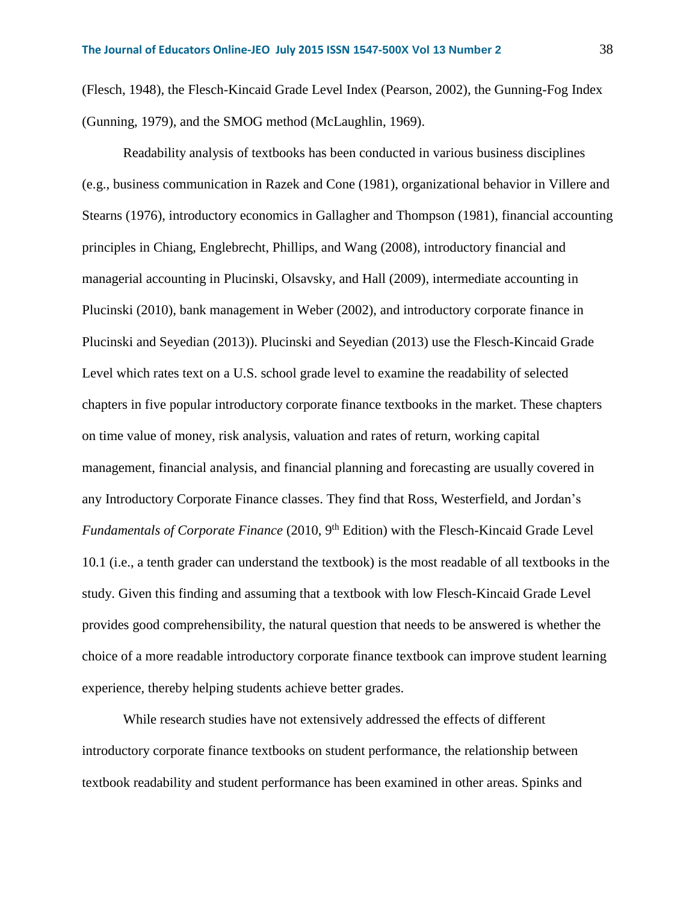(Flesch, 1948), the Flesch-Kincaid Grade Level Index (Pearson, 2002), the Gunning-Fog Index (Gunning, 1979), and the SMOG method (McLaughlin, 1969).

Readability analysis of textbooks has been conducted in various business disciplines (e.g., business communication in Razek and Cone (1981), organizational behavior in Villere and Stearns (1976), introductory economics in Gallagher and Thompson (1981), financial accounting principles in Chiang, Englebrecht, Phillips, and Wang (2008), introductory financial and managerial accounting in Plucinski, Olsavsky, and Hall (2009), intermediate accounting in Plucinski (2010), bank management in Weber (2002), and introductory corporate finance in Plucinski and Seyedian (2013)). Plucinski and Seyedian (2013) use the Flesch-Kincaid Grade Level which rates text on a U.S. school grade level to examine the readability of selected chapters in five popular introductory corporate finance textbooks in the market. These chapters on time value of money, risk analysis, valuation and rates of return, working capital management, financial analysis, and financial planning and forecasting are usually covered in any Introductory Corporate Finance classes. They find that Ross, Westerfield, and Jordan's Fundamentals of Corporate Finance (2010, 9<sup>th</sup> Edition) with the Flesch-Kincaid Grade Level 10.1 (i.e., a tenth grader can understand the textbook) is the most readable of all textbooks in the study. Given this finding and assuming that a textbook with low Flesch-Kincaid Grade Level provides good comprehensibility, the natural question that needs to be answered is whether the choice of a more readable introductory corporate finance textbook can improve student learning experience, thereby helping students achieve better grades.

While research studies have not extensively addressed the effects of different introductory corporate finance textbooks on student performance, the relationship between textbook readability and student performance has been examined in other areas. Spinks and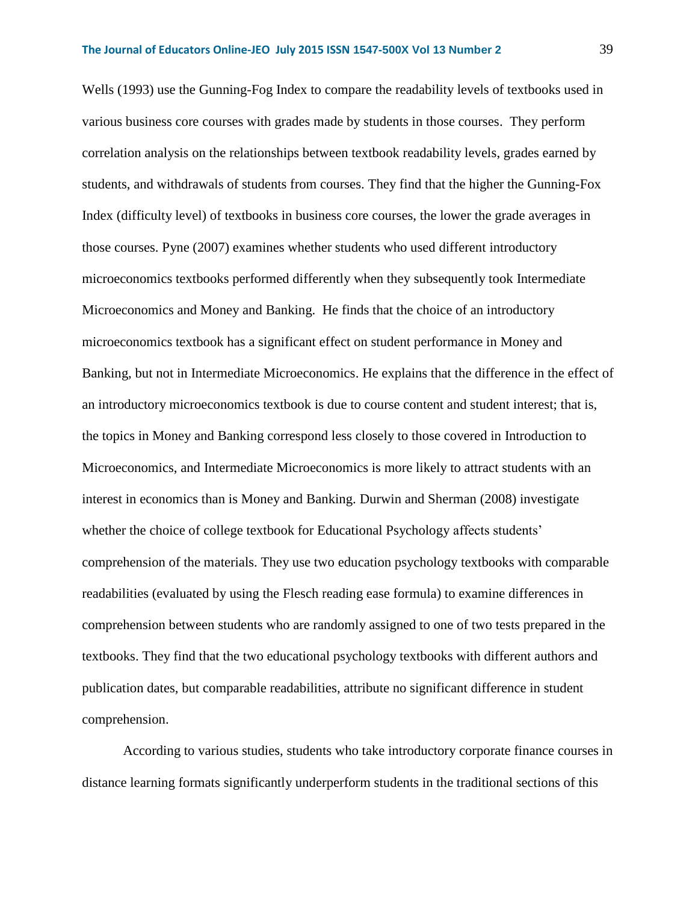Wells (1993) use the Gunning-Fog Index to compare the readability levels of textbooks used in various business core courses with grades made by students in those courses. They perform correlation analysis on the relationships between textbook readability levels, grades earned by students, and withdrawals of students from courses. They find that the higher the Gunning-Fox Index (difficulty level) of textbooks in business core courses, the lower the grade averages in those courses. Pyne (2007) examines whether students who used different introductory microeconomics textbooks performed differently when they subsequently took Intermediate Microeconomics and Money and Banking. He finds that the choice of an introductory microeconomics textbook has a significant effect on student performance in Money and Banking, but not in Intermediate Microeconomics. He explains that the difference in the effect of an introductory microeconomics textbook is due to course content and student interest; that is, the topics in Money and Banking correspond less closely to those covered in Introduction to Microeconomics, and Intermediate Microeconomics is more likely to attract students with an interest in economics than is Money and Banking. Durwin and Sherman (2008) investigate whether the choice of college textbook for Educational Psychology affects students' comprehension of the materials. They use two education psychology textbooks with comparable readabilities (evaluated by using the Flesch reading ease formula) to examine differences in comprehension between students who are randomly assigned to one of two tests prepared in the textbooks. They find that the two educational psychology textbooks with different authors and publication dates, but comparable readabilities, attribute no significant difference in student comprehension.

According to various studies, students who take introductory corporate finance courses in distance learning formats significantly underperform students in the traditional sections of this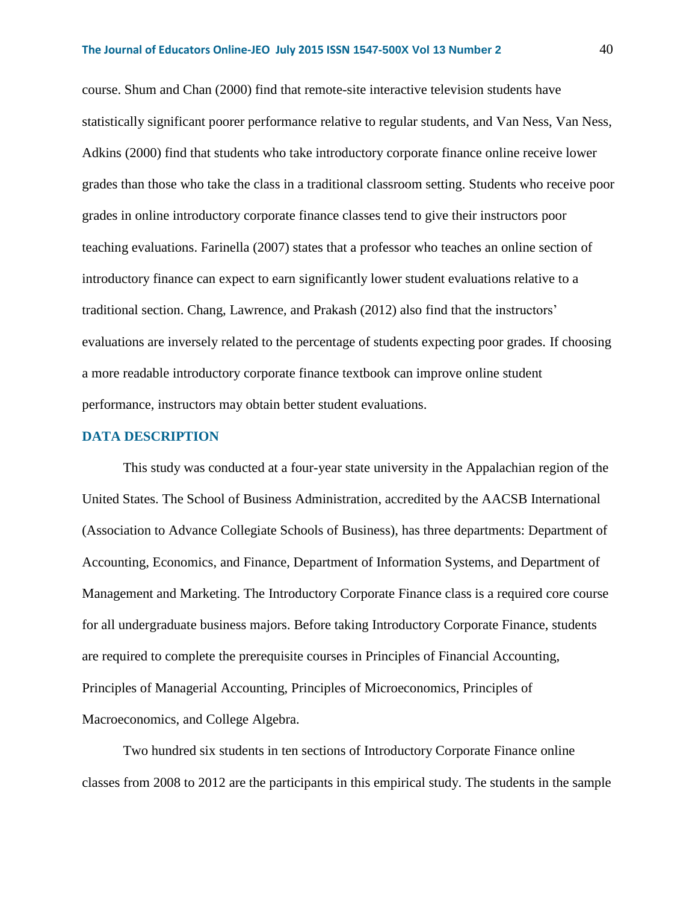course. Shum and Chan (2000) find that remote-site interactive television students have statistically significant poorer performance relative to regular students, and Van Ness, Van Ness, Adkins (2000) find that students who take introductory corporate finance online receive lower grades than those who take the class in a traditional classroom setting. Students who receive poor grades in online introductory corporate finance classes tend to give their instructors poor teaching evaluations. Farinella (2007) states that a professor who teaches an online section of introductory finance can expect to earn significantly lower student evaluations relative to a traditional section. Chang, Lawrence, and Prakash (2012) also find that the instructors' evaluations are inversely related to the percentage of students expecting poor grades. If choosing a more readable introductory corporate finance textbook can improve online student performance, instructors may obtain better student evaluations.

## **DATA DESCRIPTION**

This study was conducted at a four-year state university in the Appalachian region of the United States. The School of Business Administration, accredited by the AACSB International (Association to Advance Collegiate Schools of Business), has three departments: Department of Accounting, Economics, and Finance, Department of Information Systems, and Department of Management and Marketing. The Introductory Corporate Finance class is a required core course for all undergraduate business majors. Before taking Introductory Corporate Finance, students are required to complete the prerequisite courses in Principles of Financial Accounting, Principles of Managerial Accounting, Principles of Microeconomics, Principles of Macroeconomics, and College Algebra.

Two hundred six students in ten sections of Introductory Corporate Finance online classes from 2008 to 2012 are the participants in this empirical study. The students in the sample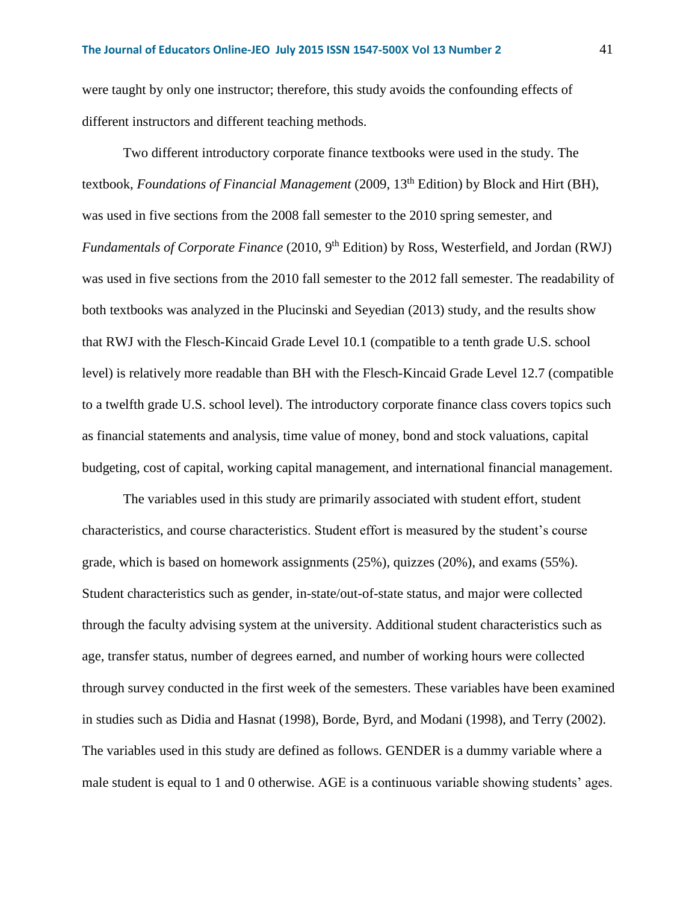were taught by only one instructor; therefore, this study avoids the confounding effects of different instructors and different teaching methods.

Two different introductory corporate finance textbooks were used in the study. The textbook, *Foundations of Financial Management* (2009, 13 th Edition) by Block and Hirt (BH), was used in five sections from the 2008 fall semester to the 2010 spring semester, and Fundamentals of Corporate Finance (2010, 9<sup>th</sup> Edition) by Ross, Westerfield, and Jordan (RWJ) was used in five sections from the 2010 fall semester to the 2012 fall semester. The readability of both textbooks was analyzed in the Plucinski and Seyedian (2013) study, and the results show that RWJ with the Flesch-Kincaid Grade Level 10.1 (compatible to a tenth grade U.S. school level) is relatively more readable than BH with the Flesch-Kincaid Grade Level 12.7 (compatible to a twelfth grade U.S. school level). The introductory corporate finance class covers topics such as financial statements and analysis, time value of money, bond and stock valuations, capital budgeting, cost of capital, working capital management, and international financial management.

The variables used in this study are primarily associated with student effort, student characteristics, and course characteristics. Student effort is measured by the student's course grade, which is based on homework assignments (25%), quizzes (20%), and exams (55%). Student characteristics such as gender, in-state/out-of-state status, and major were collected through the faculty advising system at the university. Additional student characteristics such as age, transfer status, number of degrees earned, and number of working hours were collected through survey conducted in the first week of the semesters. These variables have been examined in studies such as Didia and Hasnat (1998), Borde, Byrd, and Modani (1998), and Terry (2002). The variables used in this study are defined as follows. GENDER is a dummy variable where a male student is equal to 1 and 0 otherwise. AGE is a continuous variable showing students' ages.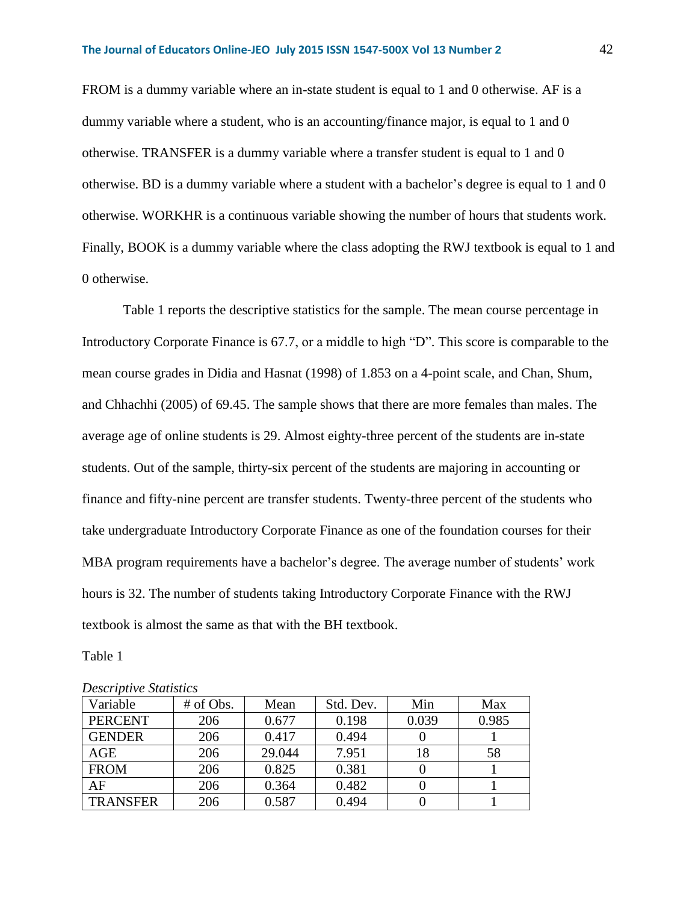FROM is a dummy variable where an in-state student is equal to 1 and 0 otherwise. AF is a dummy variable where a student, who is an accounting/finance major, is equal to 1 and 0 otherwise. TRANSFER is a dummy variable where a transfer student is equal to 1 and 0 otherwise. BD is a dummy variable where a student with a bachelor's degree is equal to 1 and 0 otherwise. WORKHR is a continuous variable showing the number of hours that students work. Finally, BOOK is a dummy variable where the class adopting the RWJ textbook is equal to 1 and 0 otherwise.

Table 1 reports the descriptive statistics for the sample. The mean course percentage in Introductory Corporate Finance is 67.7, or a middle to high "D". This score is comparable to the mean course grades in Didia and Hasnat (1998) of 1.853 on a 4-point scale, and Chan, Shum, and Chhachhi (2005) of 69.45. The sample shows that there are more females than males. The average age of online students is 29. Almost eighty-three percent of the students are in-state students. Out of the sample, thirty-six percent of the students are majoring in accounting or finance and fifty-nine percent are transfer students. Twenty-three percent of the students who take undergraduate Introductory Corporate Finance as one of the foundation courses for their MBA program requirements have a bachelor's degree. The average number of students' work hours is 32. The number of students taking Introductory Corporate Finance with the RWJ textbook is almost the same as that with the BH textbook.

Table 1

| Variable        | # of Obs. | Mean   | Std. Dev. | Min   | Max   |
|-----------------|-----------|--------|-----------|-------|-------|
| <b>PERCENT</b>  | 206       | 0.677  | 0.198     | 0.039 | 0.985 |
| <b>GENDER</b>   | 206       | 0.417  | 0.494     |       |       |
| AGE             | 206       | 29.044 | 7.951     | 18    | 58    |
| <b>FROM</b>     | 206       | 0.825  | 0.381     |       |       |
| AF              | 206       | 0.364  | 0.482     |       |       |
| <b>TRANSFER</b> | 206       | 0.587  | 0.494     |       |       |

*Descriptive Statistics*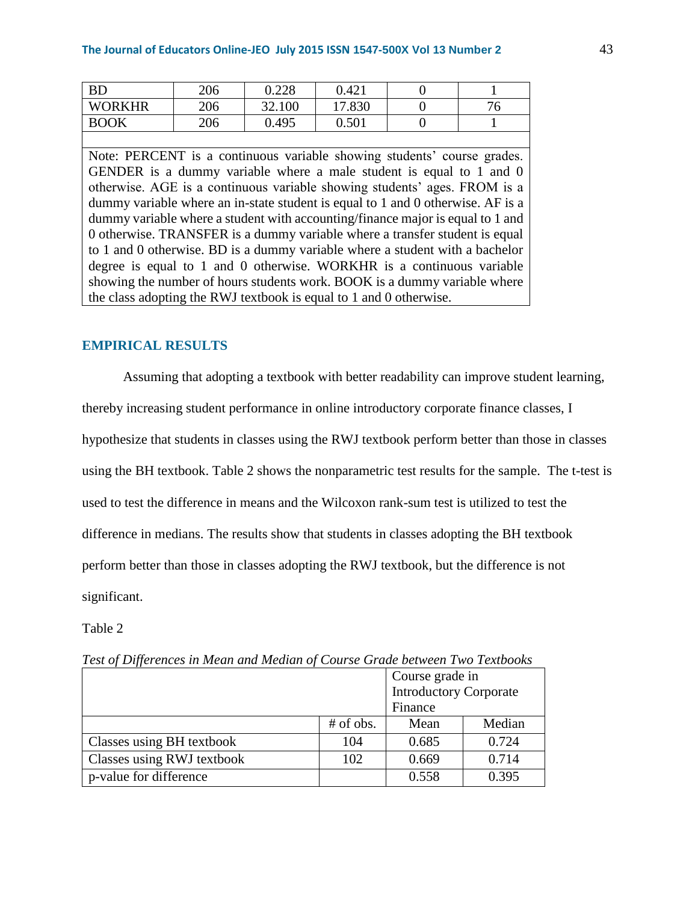| <b>BD</b>     | 206 | ەدد ∩<br>J.ZZ8 | 0.421 |    |
|---------------|-----|----------------|-------|----|
| <b>WORKHR</b> | 206 | 32.100         | 7.830 | 76 |
| <b>BOOK</b>   | 206 | 0.495          | 0.501 |    |

Note: PERCENT is a continuous variable showing students' course grades. GENDER is a dummy variable where a male student is equal to 1 and 0 otherwise. AGE is a continuous variable showing students' ages. FROM is a dummy variable where an in-state student is equal to 1 and 0 otherwise. AF is a dummy variable where a student with accounting/finance major is equal to 1 and 0 otherwise. TRANSFER is a dummy variable where a transfer student is equal to 1 and 0 otherwise. BD is a dummy variable where a student with a bachelor degree is equal to 1 and 0 otherwise. WORKHR is a continuous variable showing the number of hours students work. BOOK is a dummy variable where the class adopting the RWJ textbook is equal to 1 and 0 otherwise.

# **EMPIRICAL RESULTS**

Assuming that adopting a textbook with better readability can improve student learning, thereby increasing student performance in online introductory corporate finance classes, I hypothesize that students in classes using the RWJ textbook perform better than those in classes using the BH textbook. Table 2 shows the nonparametric test results for the sample. The t-test is used to test the difference in means and the Wilcoxon rank-sum test is utilized to test the difference in medians. The results show that students in classes adopting the BH textbook perform better than those in classes adopting the RWJ textbook, but the difference is not significant.

Table 2

Course grade in Introductory Corporate Finance # of obs. | Mean | Median Classes using BH textbook  $104 \t 104 \t 0.685 \t 0.724$ Classes using RWJ textbook  $102 \div 0.669$  0.714 p-value for difference  $\vert$  0.558  $\vert$  0.395

*Test of Differences in Mean and Median of Course Grade between Two Textbooks*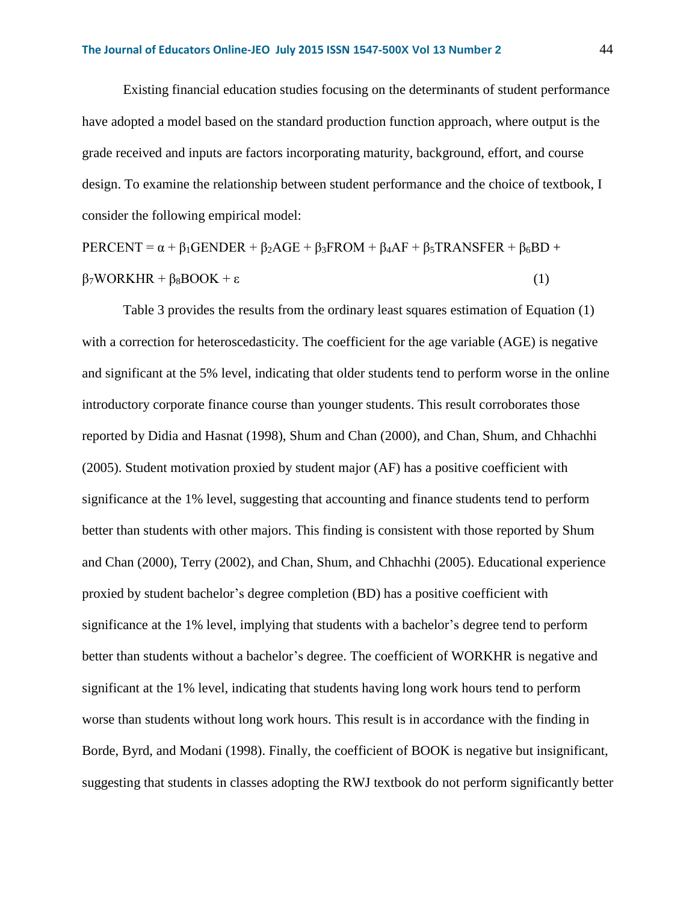#### **The Journal of Educators Online-JEO July 2015 ISSN 1547-500X Vol 13 Number 2** 44

Existing financial education studies focusing on the determinants of student performance have adopted a model based on the standard production function approach, where output is the grade received and inputs are factors incorporating maturity, background, effort, and course design. To examine the relationship between student performance and the choice of textbook, I consider the following empirical model:

PERCENT = 
$$
\alpha
$$
 +  $\beta_1$ GENDER +  $\beta_2$ AGE +  $\beta_3$  FROM +  $\beta_4$ AF +  $\beta_5$ TRANSFER +  $\beta_6$ BD +  
\n $\beta_7$  WORKHR +  $\beta_8$ BOOK + ε (1)

Table 3 provides the results from the ordinary least squares estimation of Equation (1) with a correction for heteroscedasticity. The coefficient for the age variable (AGE) is negative and significant at the 5% level, indicating that older students tend to perform worse in the online introductory corporate finance course than younger students. This result corroborates those reported by Didia and Hasnat (1998), Shum and Chan (2000), and Chan, Shum, and Chhachhi (2005). Student motivation proxied by student major (AF) has a positive coefficient with significance at the 1% level, suggesting that accounting and finance students tend to perform better than students with other majors. This finding is consistent with those reported by Shum and Chan (2000), Terry (2002), and Chan, Shum, and Chhachhi (2005). Educational experience proxied by student bachelor's degree completion (BD) has a positive coefficient with significance at the 1% level, implying that students with a bachelor's degree tend to perform better than students without a bachelor's degree. The coefficient of WORKHR is negative and significant at the 1% level, indicating that students having long work hours tend to perform worse than students without long work hours. This result is in accordance with the finding in Borde, Byrd, and Modani (1998). Finally, the coefficient of BOOK is negative but insignificant, suggesting that students in classes adopting the RWJ textbook do not perform significantly better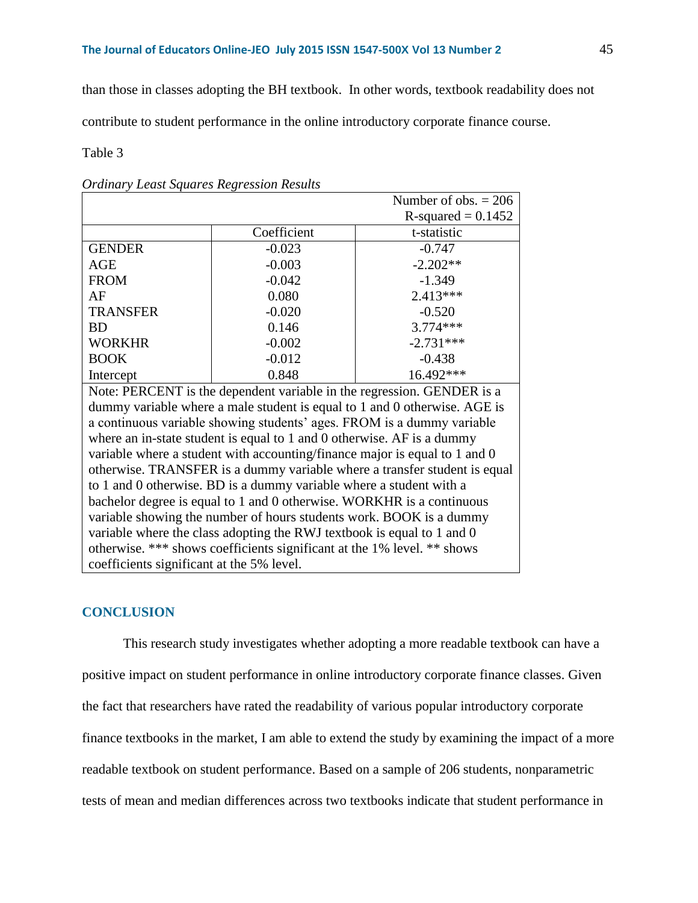than those in classes adopting the BH textbook. In other words, textbook readability does not

contribute to student performance in the online introductory corporate finance course.

Table 3

| <b>Ordinary Least Squares Regression Results</b> |  |
|--------------------------------------------------|--|
|--------------------------------------------------|--|

|                 |             | Number of obs. $= 206$                                                |
|-----------------|-------------|-----------------------------------------------------------------------|
|                 |             | R-squared $= 0.1452$                                                  |
|                 | Coefficient | t-statistic                                                           |
| <b>GENDER</b>   | $-0.023$    | $-0.747$                                                              |
| <b>AGE</b>      | $-0.003$    | $-2.202**$                                                            |
| <b>FROM</b>     | $-0.042$    | $-1.349$                                                              |
| AF              | 0.080       | $2.413***$                                                            |
| <b>TRANSFER</b> | $-0.020$    | $-0.520$                                                              |
| <b>BD</b>       | 0.146       | $3.774***$                                                            |
| <b>WORKHR</b>   | $-0.002$    | $-2.731***$                                                           |
| <b>BOOK</b>     | $-0.012$    | $-0.438$                                                              |
| Intercept       | 0.848       | 16.492***                                                             |
|                 |             | Note: DEDCENT is the dependent verichle in the regression CENDED is a |

Note: PERCENT is the dependent variable in the regression. GENDER is a dummy variable where a male student is equal to 1 and 0 otherwise. AGE is a continuous variable showing students' ages. FROM is a dummy variable where an in-state student is equal to 1 and 0 otherwise. AF is a dummy variable where a student with accounting/finance major is equal to 1 and 0 otherwise. TRANSFER is a dummy variable where a transfer student is equal to 1 and 0 otherwise. BD is a dummy variable where a student with a bachelor degree is equal to 1 and 0 otherwise. WORKHR is a continuous variable showing the number of hours students work. BOOK is a dummy variable where the class adopting the RWJ textbook is equal to 1 and 0 otherwise. \*\*\* shows coefficients significant at the 1% level. \*\* shows coefficients significant at the 5% level.

## **CONCLUSION**

This research study investigates whether adopting a more readable textbook can have a positive impact on student performance in online introductory corporate finance classes. Given the fact that researchers have rated the readability of various popular introductory corporate finance textbooks in the market, I am able to extend the study by examining the impact of a more readable textbook on student performance. Based on a sample of 206 students, nonparametric tests of mean and median differences across two textbooks indicate that student performance in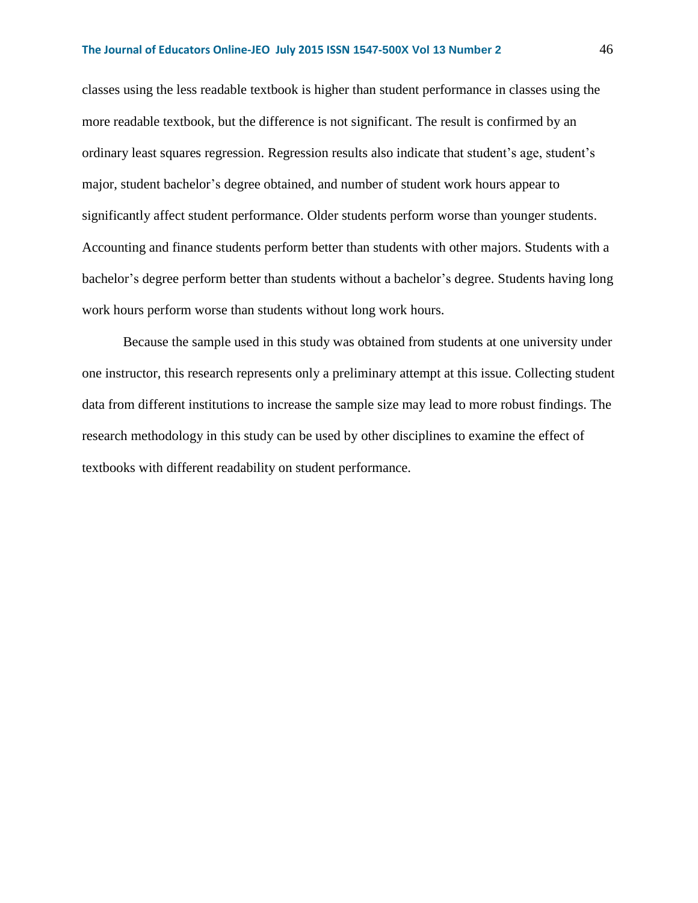#### **The Journal of Educators Online-JEO July 2015 ISSN 1547-500X Vol 13 Number 2** 46

classes using the less readable textbook is higher than student performance in classes using the more readable textbook, but the difference is not significant. The result is confirmed by an ordinary least squares regression. Regression results also indicate that student's age, student's major, student bachelor's degree obtained, and number of student work hours appear to significantly affect student performance. Older students perform worse than younger students. Accounting and finance students perform better than students with other majors. Students with a bachelor's degree perform better than students without a bachelor's degree. Students having long work hours perform worse than students without long work hours.

Because the sample used in this study was obtained from students at one university under one instructor, this research represents only a preliminary attempt at this issue. Collecting student data from different institutions to increase the sample size may lead to more robust findings. The research methodology in this study can be used by other disciplines to examine the effect of textbooks with different readability on student performance.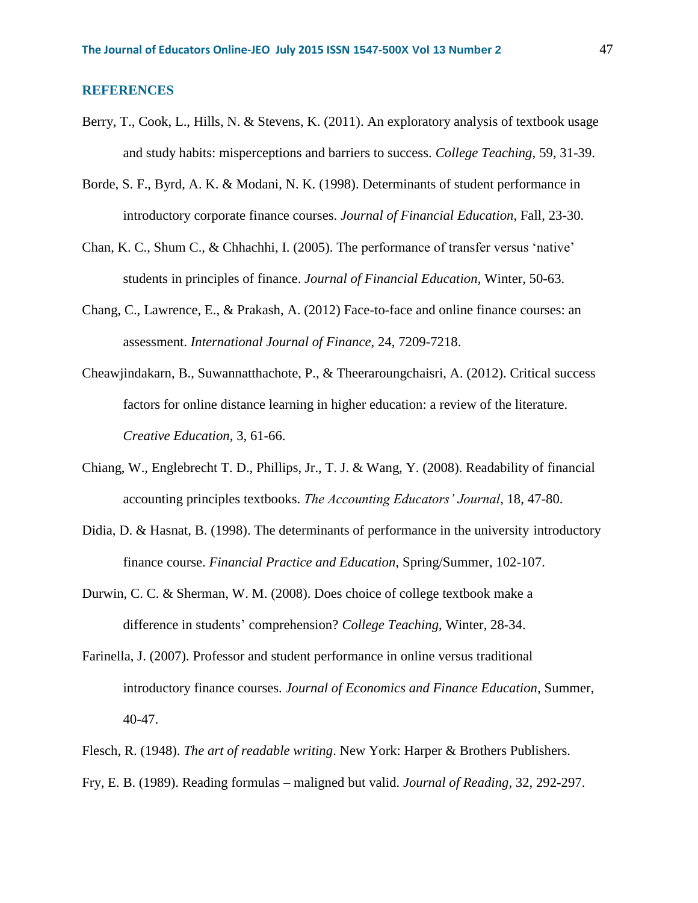## **REFERENCES**

- Berry, T., Cook, L., Hills, N. & Stevens, K. (2011). An exploratory analysis of textbook usage and study habits: misperceptions and barriers to success. *College Teaching*, 59, 31-39.
- Borde, S. F., Byrd, A. K. & Modani, N. K. (1998). Determinants of student performance in introductory corporate finance courses. *Journal of Financial Education*, Fall, 23-30.
- Chan, K. C., Shum C., & Chhachhi, I. (2005). The performance of transfer versus 'native' students in principles of finance. *Journal of Financial Education*, Winter, 50-63.
- Chang, C., Lawrence, E., & Prakash, A. (2012) Face-to-face and online finance courses: an assessment. *International Journal of Finance*, 24, 7209-7218.
- Cheawjindakarn, B., Suwannatthachote, P., & Theeraroungchaisri, A. (2012). Critical success factors for online distance learning in higher education: a review of the literature. *Creative Education*, 3, 61-66.
- Chiang, W., Englebrecht T. D., Phillips, Jr., T. J. & Wang, Y. (2008). Readability of financial accounting principles textbooks. *The Accounting Educators' Journal*, 18, 47-80.
- Didia, D. & Hasnat, B. (1998). The determinants of performance in the university introductory finance course. *Financial Practice and Education*, Spring/Summer, 102-107.
- Durwin, C. C. & Sherman, W. M. (2008). Does choice of college textbook make a difference in students' comprehension? *College Teaching*, Winter, 28-34.
- Farinella, J. (2007). Professor and student performance in online versus traditional introductory finance courses. *Journal of Economics and Finance Education*, Summer, 40-47.
- Flesch, R. (1948). *The art of readable writing*. New York: Harper & Brothers Publishers.
- Fry, E. B. (1989). Reading formulas maligned but valid. *Journal of Reading*, 32, 292-297.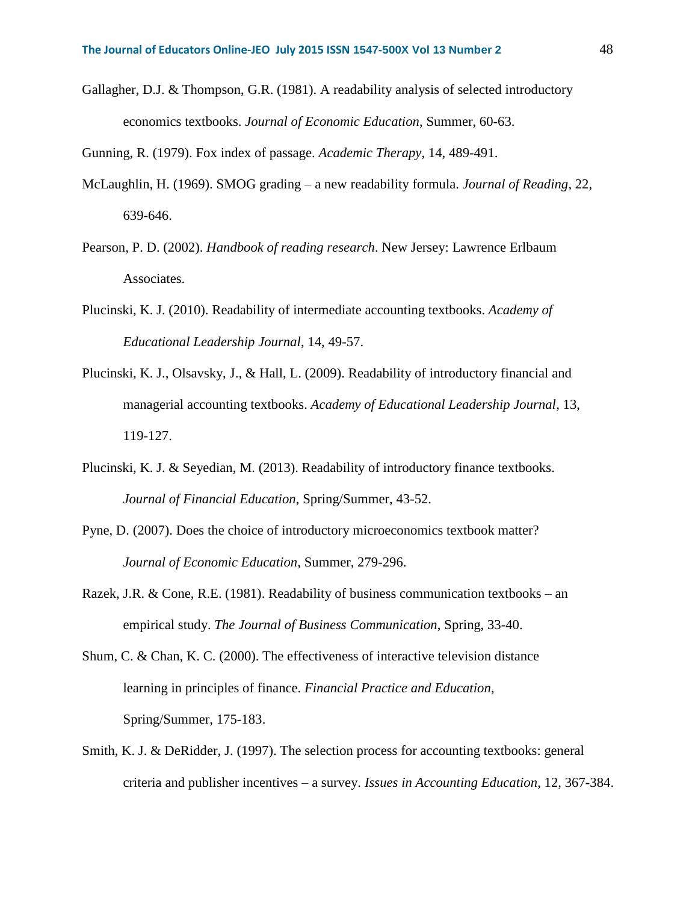Gallagher, D.J. & Thompson, G.R. (1981). A readability analysis of selected introductory economics textbooks. *Journal of Economic Education*, Summer, 60-63.

Gunning, R. (1979). Fox index of passage. *Academic Therapy*, 14, 489-491.

- McLaughlin, H. (1969). SMOG grading a new readability formula. *Journal of Reading*, 22, 639-646.
- Pearson, P. D. (2002). *Handbook of reading research*. New Jersey: Lawrence Erlbaum Associates.
- Plucinski, K. J. (2010). Readability of intermediate accounting textbooks. *Academy of Educational Leadership Journal*, 14, 49-57.
- Plucinski, K. J., Olsavsky, J., & Hall, L. (2009). Readability of introductory financial and managerial accounting textbooks. *Academy of Educational Leadership Journal*, 13, 119-127.
- Plucinski, K. J. & Seyedian, M. (2013). Readability of introductory finance textbooks. *Journal of Financial Education*, Spring/Summer, 43-52.
- Pyne, D. (2007). Does the choice of introductory microeconomics textbook matter? *Journal of Economic Education*, Summer, 279-296.
- Razek, J.R. & Cone, R.E. (1981). Readability of business communication textbooks an empirical study. *The Journal of Business Communication*, Spring, 33-40.
- Shum, C. & Chan, K. C. (2000). The effectiveness of interactive television distance learning in principles of finance. *Financial Practice and Education*, Spring/Summer, 175-183.
- Smith, K. J. & DeRidder, J. (1997). The selection process for accounting textbooks: general criteria and publisher incentives – a survey. *Issues in Accounting Education*, 12, 367-384.